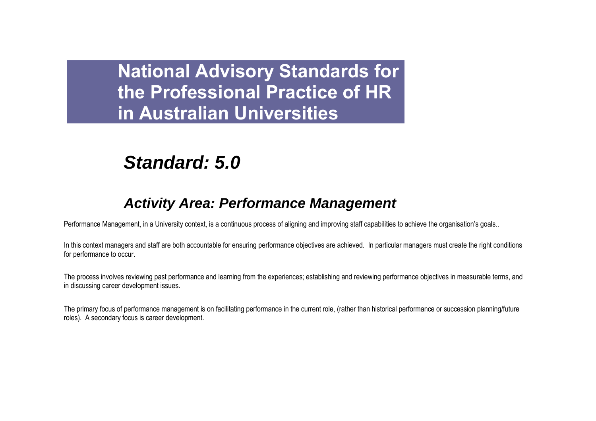# *Standard: 5.0*

## *Activity Area: Performance Management*

Performance Management, in a University context, is a continuous process of aligning and improving staff capabilities to achieve the organisation's goals..

In this context managers and staff are both accountable for ensuring performance objectives are achieved. In particular managers must create the right conditions for performance to occur.

The process involves reviewing past performance and learning from the experiences; establishing and reviewing performance objectives in measurable terms, and in discussing career development issues.

The primary focus of performance management is on facilitating performance in the current role, (rather than historical performance or succession planning/future roles). A secondary focus is career development.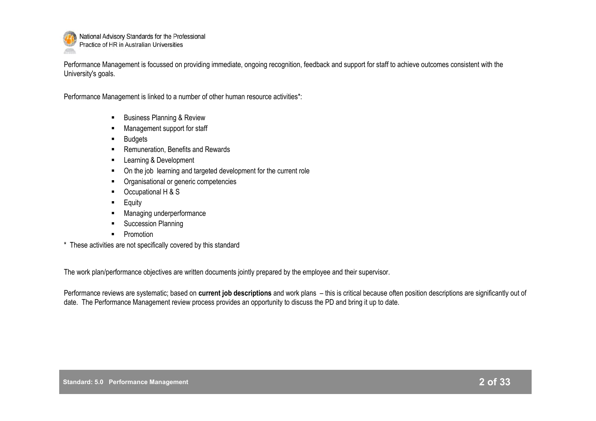

Performance Management is focussed on providing immediate, ongoing recognition, feedback and support for staff to achieve outcomes consistent with the University's goals.

Performance Management is linked to a number of other human resource activities\*:

- **Business Planning & Review**
- **Management support for staff**
- **Budgets**
- Remuneration, Benefits and Rewards
- **EXECUTE:** Learning & Development
- On the job learning and targeted development for the current role
- **•** Organisational or generic competencies
- Occupational H & S
- **Equity**
- Managing underperformance
- **Succession Planning**
- **Promotion**
- \* These activities are not specifically covered by this standard

The work plan/performance objectives are written documents jointly prepared by the employee and their supervisor.

Performance reviews are systematic; based on **current job descriptions** and work plans – this is critical because often position descriptions are significantly out of date. The Performance Management review process provides an opportunity to discuss the PD and bring it up to date.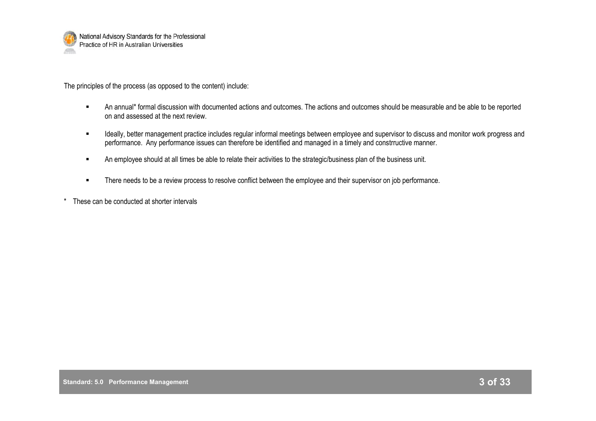

The principles of the process (as opposed to the content) include:

- An annual\* formal discussion with documented actions and outcomes. The actions and outcomes should be measurable and be able to be reported on and assessed at the next review.
- **IDED** Ideally, better management practice includes regular informal meetings between employee and supervisor to discuss and monitor work progress and performance. Any performance issues can therefore be identified and managed in a timely and constrructive manner.
- **An employee should at all times be able to relate their activities to the strategic/business plan of the business unit.**
- **There needs to be a review process to resolve conflict between the employee and their supervisor on job performance.**
- \* These can be conducted at shorter intervals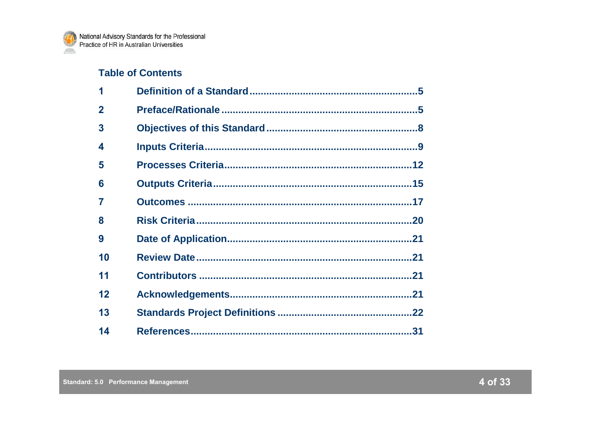## **Table of Contents**

| 1              |  |
|----------------|--|
| $\overline{2}$ |  |
| 3              |  |
| 4              |  |
| 5              |  |
| 6              |  |
| 7              |  |
| 8              |  |
| 9              |  |
| 10             |  |
| 11             |  |
| 12             |  |
| 13             |  |
| 14             |  |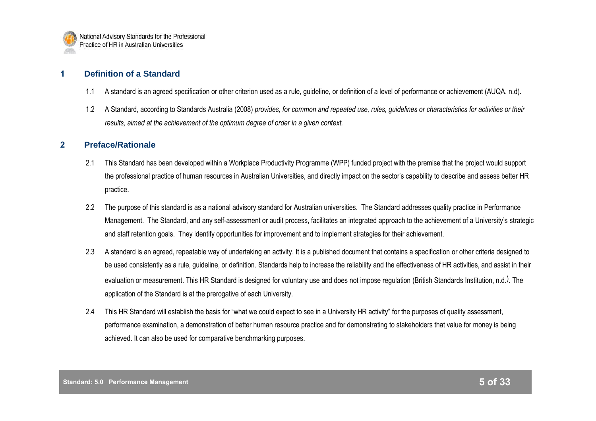

## **1 Definition of a Standard**

- 1.1 A standard is an agreed specification or other criterion used as a rule, guideline, or definition of a level of performance or achievement (AUQA, n.d).
- 1.2 A Standard, according to Standards Australia (2008) *provides, for common and repeated use, rules, guidelines or characteristics for activities or their results, aimed at the achievement of the optimum degree of order in a given context.*

#### **2 Preface/Rationale**

- 2.1 This Standard has been developed within a Workplace Productivity Programme (WPP) funded project with the premise that the project would support the professional practice of human resources in Australian Universities, and directly impact on the sector"s capability to describe and assess better HR practice.
- 2.2 The purpose of this standard is as a national advisory standard for Australian universities. The Standard addresses quality practice in Performance Management. The Standard, and any self-assessment or audit process, facilitates an integrated approach to the achievement of a University's strategic and staff retention goals. They identify opportunities for improvement and to implement strategies for their achievement.
- 2.3 A standard is an agreed, repeatable way of undertaking an activity. It is a published document that contains a specification or other criteria designed to be used consistently as a rule, guideline, or definition. Standards help to increase the reliability and the effectiveness of HR activities, and assist in their evaluation or measurement. This HR Standard is designed for voluntary use and does not impose regulation (British Standards Institution, n.d.<sup>)</sup>. The application of the Standard is at the prerogative of each University.
- 2.4 This HR Standard will establish the basis for "what we could expect to see in a University HR activity" for the purposes of quality assessment, performance examination, a demonstration of better human resource practice and for demonstrating to stakeholders that value for money is being achieved. It can also be used for comparative benchmarking purposes.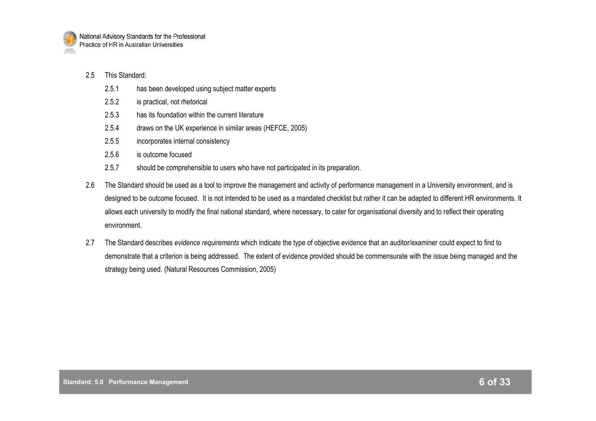

#### 2.5 This Standard:

- 2.5.1 has been developed using subject matter experts
- 2.5.2 is practical, not rhetorical
- 2.5.3 has its foundation within the current literature
- 2.5.4 draws on the UK experience in similar areas (HEFCE, 2005)
- 2.5.5 incorporates internal consistency
- 2.5.6 is outcome focused
- 2.5.7 should be comprehensible to users who have not participated in its preparation.
- 2.6 The Standard should be used as a tool to improve the management and activity of performance management in a University environment, and is designed to be outcome focused. It is not intended to be used as a mandated checklist but rather it can be adapted to different HR environments. It allows each university to modify the final national standard, where necessary, to cater for organisational diversity and to reflect their operating environment.
- 2.7 The Standard describes *evidence requirements* which indicate the type of objective evidence that an auditor/examiner could expect to find to demonstrate that a criterion is being addressed. The extent of evidence provided should be commensurate with the issue being managed and the strategy being used. (Natural Resources Commission, 2005)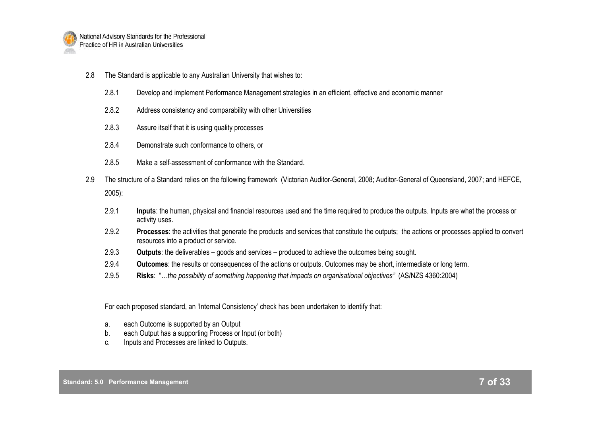

- 2.8 The Standard is applicable to any Australian University that wishes to:
	- 2.8.1 Develop and implement Performance Management strategies in an efficient, effective and economic manner
	- 2.8.2 Address consistency and comparability with other Universities
	- 2.8.3 Assure itself that it is using quality processes
	- 2.8.4 Demonstrate such conformance to others, or
	- 2.8.5 Make a self-assessment of conformance with the Standard.
- 2.9 The structure of a Standard relies on the following framework (Victorian Auditor-General, 2008; Auditor-General of Queensland, 2007; and HEFCE, 2005):
	- 2.9.1 **Inputs**: the human, physical and financial resources used and the time required to produce the outputs. Inputs are what the process or activity uses.
	- 2.9.2 **Processes**: the activities that generate the products and services that constitute the outputs; the actions or processes applied to convert resources into a product or service.
	- 2.9.3 **Outputs**: the deliverables goods and services produced to achieve the outcomes being sought.
	- 2.9.4 **Outcomes**: the results or consequences of the actions or outputs. Outcomes may be short, intermediate or long term.
	- 2.9.5 **Risks**: "*…the possibility of something happening that impacts on organisational objectives"* (AS/NZS 4360:2004)

For each proposed standard, an "Internal Consistency" check has been undertaken to identify that:

- a. each Outcome is supported by an Output
- b. each Output has a supporting Process or Input (or both)
- c. Inputs and Processes are linked to Outputs.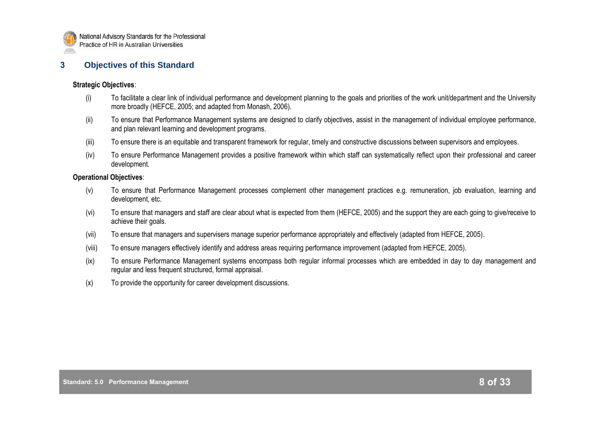

#### **3 Objectives of this Standard**

#### **Strategic Objectives**:

- (i) To facilitate a clear link of individual performance and development planning to the goals and priorities of the work unit/department and the University more broadly (HEFCE, 2005; and adapted from Monash, 2006).
- (ii) To ensure that Performance Management systems are designed to clarify objectives, assist in the management of individual employee performance, and plan relevant learning and development programs.
- (iii) To ensure there is an equitable and transparent framework for regular, timely and constructive discussions between supervisors and employees.
- (iv) To ensure Performance Management provides a positive framework within which staff can systematically reflect upon their professional and career development.

#### **Operational Objectives**:

- (v) To ensure that Performance Management processes complement other management practices e.g. remuneration, job evaluation, learning and development, etc.
- (vi) To ensure that managers and staff are clear about what is expected from them (HEFCE, 2005) and the support they are each going to give/receive to achieve their goals.
- (vii) To ensure that managers and supervisers manage superior performance appropriately and effectively (adapted from HEFCE, 2005).
- (viii) To ensure managers effectively identify and address areas requiring performance improvement (adapted from HEFCE, 2005).
- (ix) To ensure Performance Management systems encompass both regular informal processes which are embedded in day to day management and regular and less frequent structured, formal appraisal.
- (x) To provide the opportunity for career development discussions.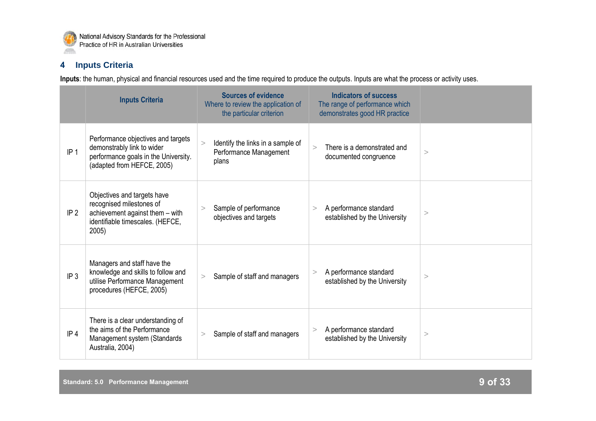

## **4 Inputs Criteria**

**Inputs**: the human, physical and financial resources used and the time required to produce the outputs. Inputs are what the process or activity uses.

|                 | <b>Inputs Criteria</b>                                                                                                                  | <b>Sources of evidence</b><br>Where to review the application of<br>the particular criterion | <b>Indicators of success</b><br>The range of performance which<br>demonstrates good HR practice |       |
|-----------------|-----------------------------------------------------------------------------------------------------------------------------------------|----------------------------------------------------------------------------------------------|-------------------------------------------------------------------------------------------------|-------|
| IP <sub>1</sub> | Performance objectives and targets<br>demonstrably link to wider<br>performance goals in the University.<br>(adapted from HEFCE, 2005)  | Identify the links in a sample of<br>Performance Management<br>plans                         | There is a demonstrated and<br>$\geq$<br>documented congruence                                  | >     |
| IP <sub>2</sub> | Objectives and targets have<br>recognised milestones of<br>achievement against them - with<br>identifiable timescales. (HEFCE,<br>2005) | Sample of performance<br>><br>objectives and targets                                         | A performance standard<br>><br>established by the University                                    | >     |
| IP <sub>3</sub> | Managers and staff have the<br>knowledge and skills to follow and<br>utilise Performance Management<br>procedures (HEFCE, 2005)         | Sample of staff and managers<br>>                                                            | A performance standard<br>$\geq$<br>established by the University                               | $\,>$ |
| IP <sub>4</sub> | There is a clear understanding of<br>the aims of the Performance<br>Management system (Standards<br>Australia, 2004)                    | Sample of staff and managers<br>>                                                            | A performance standard<br>$\geq$<br>established by the University                               | >     |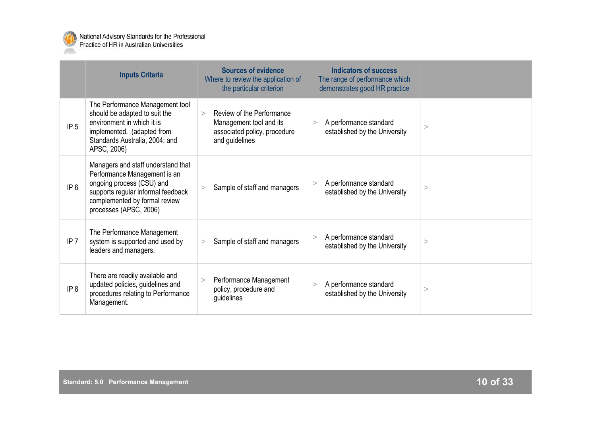

|                 | <b>Inputs Criteria</b>                                                                                                                                                                           | <b>Sources of evidence</b><br>Where to review the application of<br>the particular criterion                     | <b>Indicators of success</b><br>The range of performance which<br>demonstrates good HR practice |          |
|-----------------|--------------------------------------------------------------------------------------------------------------------------------------------------------------------------------------------------|------------------------------------------------------------------------------------------------------------------|-------------------------------------------------------------------------------------------------|----------|
| IP <sub>5</sub> | The Performance Management tool<br>should be adapted to suit the<br>environment in which it is<br>implemented. (adapted from<br>Standards Australia, 2004; and<br>APSC, 2006)                    | Review of the Performance<br>$\geq$<br>Management tool and its<br>associated policy, procedure<br>and guidelines | A performance standard<br>><br>established by the University                                    | $\,>$    |
| IP 6            | Managers and staff understand that<br>Performance Management is an<br>ongoing process (CSU) and<br>supports regular informal feedback<br>complemented by formal review<br>processes (APSC, 2006) | Sample of staff and managers                                                                                     | A performance standard<br>><br>established by the University                                    | $\rm{>}$ |
| IP <sub>7</sub> | The Performance Management<br>system is supported and used by<br>leaders and managers.                                                                                                           | Sample of staff and managers<br>>                                                                                | A performance standard<br>><br>established by the University                                    | $\rm{>}$ |
| IP <sub>8</sub> | There are readily available and<br>updated policies, guidelines and<br>procedures relating to Performance<br>Management.                                                                         | Performance Management<br>policy, procedure and<br>guidelines                                                    | A performance standard<br>><br>established by the University                                    | $\rm{>}$ |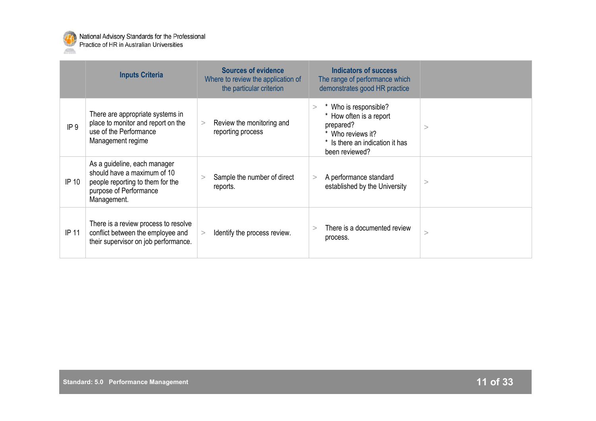

|                 | <b>Inputs Criteria</b>                                                                                                                   | <b>Sources of evidence</b><br>Where to review the application of<br>the particular criterion | Indicators of success<br>The range of performance which<br>demonstrates good HR practice                                                           |   |
|-----------------|------------------------------------------------------------------------------------------------------------------------------------------|----------------------------------------------------------------------------------------------|----------------------------------------------------------------------------------------------------------------------------------------------------|---|
| IP <sub>9</sub> | There are appropriate systems in<br>place to monitor and report on the<br>use of the Performance<br>Management regime                    | Review the monitoring and<br>><br>reporting process                                          | Who is responsible?<br>$\rm{^>}$<br>* How often is a report<br>prepared?<br>* Who reviews it?<br>* Is there an indication it has<br>been reviewed? | > |
| IP 10           | As a guideline, each manager<br>should have a maximum of 10<br>people reporting to them for the<br>purpose of Performance<br>Management. | Sample the number of direct<br>><br>reports.                                                 | A performance standard<br>><br>established by the University                                                                                       |   |
| IP 11           | There is a review process to resolve<br>conflict between the employee and<br>their supervisor on job performance.                        | Identify the process review.                                                                 | There is a documented review<br>$\rm{~}$<br>process.                                                                                               | > |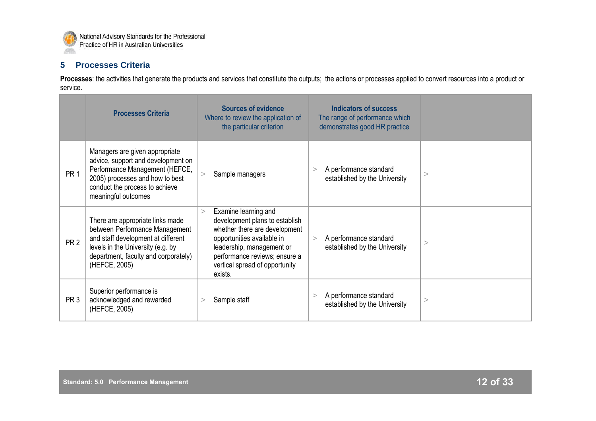

## **5 Processes Criteria**

Processes: the activities that generate the products and services that constitute the outputs; the actions or processes applied to convert resources into a product or service.

|                 | <b>Processes Criteria</b>                                                                                                                                                                              | <b>Sources of evidence</b><br>Where to review the application of<br>the particular criterion                                                                                                                                               | <b>Indicators of success</b><br>The range of performance which<br>demonstrates good HR practice |          |
|-----------------|--------------------------------------------------------------------------------------------------------------------------------------------------------------------------------------------------------|--------------------------------------------------------------------------------------------------------------------------------------------------------------------------------------------------------------------------------------------|-------------------------------------------------------------------------------------------------|----------|
| PR <sub>1</sub> | Managers are given appropriate<br>advice, support and development on<br>Performance Management (HEFCE,<br>2005) processes and how to best<br>conduct the process to achieve<br>meaningful outcomes     | Sample managers<br>>                                                                                                                                                                                                                       | A performance standard<br>$\rm{~}$<br>established by the University                             | >        |
| PR <sub>2</sub> | There are appropriate links made<br>between Performance Management<br>and staff development at different<br>levels in the University (e.g. by<br>department, faculty and corporately)<br>(HEFCE, 2005) | Examine learning and<br>$\geq$<br>development plans to establish<br>whether there are development<br>opportunities available in<br>leadership, management or<br>performance reviews; ensure a<br>vertical spread of opportunity<br>exists. | A performance standard<br>$\geq$<br>established by the University                               | >        |
| PR <sub>3</sub> | Superior performance is<br>acknowledged and rewarded<br>(HEFCE, 2005)                                                                                                                                  | Sample staff<br>$\geq$                                                                                                                                                                                                                     | A performance standard<br>><br>established by the University                                    | $\rm{>}$ |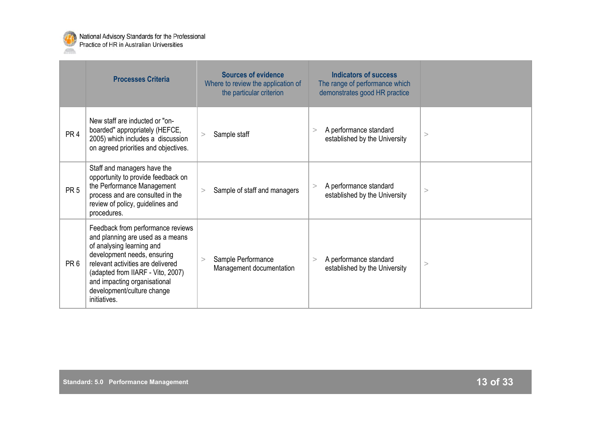

|                 | <b>Processes Criteria</b>                                                                                                                                                                                                                                                                 | <b>Sources of evidence</b><br>Where to review the application of<br>the particular criterion | Indicators of success<br>The range of performance which<br>demonstrates good HR practice |          |
|-----------------|-------------------------------------------------------------------------------------------------------------------------------------------------------------------------------------------------------------------------------------------------------------------------------------------|----------------------------------------------------------------------------------------------|------------------------------------------------------------------------------------------|----------|
| PR <sub>4</sub> | New staff are inducted or "on-<br>boarded" appropriately (HEFCE,<br>2005) which includes a discussion<br>on agreed priorities and objectives.                                                                                                                                             | Sample staff<br>$\geq$                                                                       | A performance standard<br>><br>established by the University                             | $\rm{>}$ |
| PR <sub>5</sub> | Staff and managers have the<br>opportunity to provide feedback on<br>the Performance Management<br>process and are consulted in the<br>review of policy, guidelines and<br>procedures.                                                                                                    | Sample of staff and managers<br>>                                                            | A performance standard<br>><br>established by the University                             | >        |
| PR <sub>6</sub> | Feedback from performance reviews<br>and planning are used as a means<br>of analysing learning and<br>development needs, ensuring<br>relevant activities are delivered<br>(adapted from IIARF - Vito, 2007)<br>and impacting organisational<br>development/culture change<br>initiatives. | Sample Performance<br>$\geq$<br>Management documentation                                     | A performance standard<br>><br>established by the University                             | $\,>$    |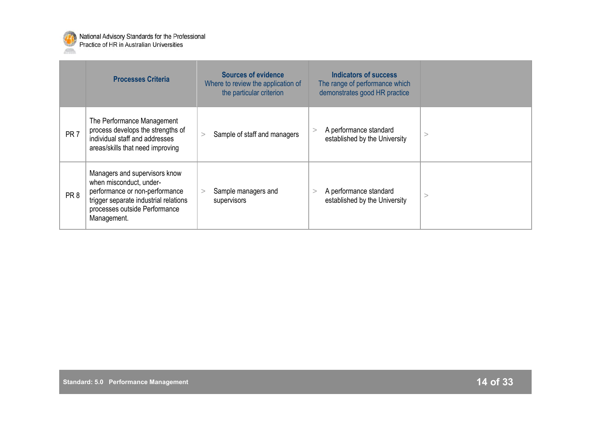

|                 | <b>Processes Criteria</b>                                                                                                                                                           | <b>Sources of evidence</b><br>Where to review the application of<br>the particular criterion | Indicators of success<br>The range of performance which<br>demonstrates good HR practice |  |
|-----------------|-------------------------------------------------------------------------------------------------------------------------------------------------------------------------------------|----------------------------------------------------------------------------------------------|------------------------------------------------------------------------------------------|--|
| PR <sub>7</sub> | The Performance Management<br>process develops the strengths of<br>individual staff and addresses<br>areas/skills that need improving                                               | Sample of staff and managers                                                                 | A performance standard<br>><br>established by the University                             |  |
| PR <sub>8</sub> | Managers and supervisors know<br>when misconduct, under-<br>performance or non-performance<br>trigger separate industrial relations<br>processes outside Performance<br>Management. | Sample managers and<br>$\geq$<br>supervisors                                                 | A performance standard<br>established by the University                                  |  |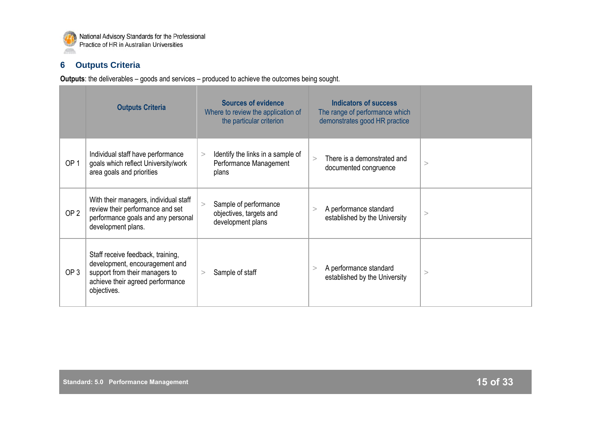

## **6 Outputs Criteria**

**Outputs**: the deliverables – goods and services – produced to achieve the outcomes being sought.

|                 | <b>Outputs Criteria</b>                                                                                                                                  | <b>Sources of evidence</b><br>Where to review the application of<br>the particular criterion | <b>Indicators of success</b><br>The range of performance which<br>demonstrates good HR practice |   |
|-----------------|----------------------------------------------------------------------------------------------------------------------------------------------------------|----------------------------------------------------------------------------------------------|-------------------------------------------------------------------------------------------------|---|
| OP <sub>1</sub> | Individual staff have performance<br>goals which reflect University/work<br>area goals and priorities                                                    | Identify the links in a sample of<br>><br>Performance Management<br>plans                    | There is a demonstrated and<br>$\geq$<br>documented congruence                                  | > |
| OP <sub>2</sub> | With their managers, individual staff<br>review their performance and set<br>performance goals and any personal<br>development plans.                    | Sample of performance<br>><br>objectives, targets and<br>development plans                   | A performance standard<br>established by the University                                         | > |
| OP <sub>3</sub> | Staff receive feedback, training,<br>development, encouragement and<br>support from their managers to<br>achieve their agreed performance<br>objectives. | Sample of staff<br>>                                                                         | A performance standard<br>established by the University                                         | > |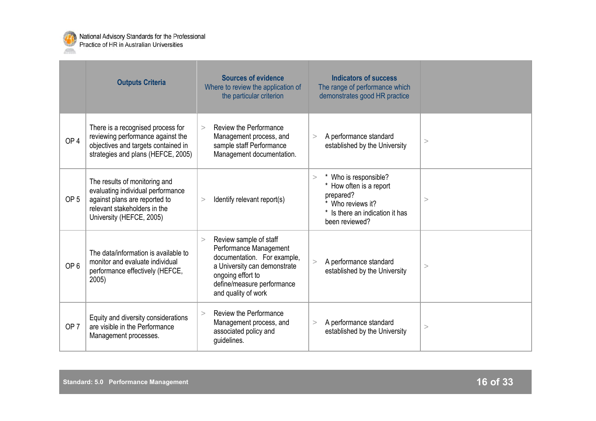

|                 | <b>Outputs Criteria</b>                                                                                                                                         | <b>Sources of evidence</b><br>Where to review the application of<br>the particular criterion                                                                                                        | <b>Indicators of success</b><br>The range of performance which<br>demonstrates good HR practice                                                 |   |
|-----------------|-----------------------------------------------------------------------------------------------------------------------------------------------------------------|-----------------------------------------------------------------------------------------------------------------------------------------------------------------------------------------------------|-------------------------------------------------------------------------------------------------------------------------------------------------|---|
| OP <sub>4</sub> | There is a recognised process for<br>reviewing performance against the<br>objectives and targets contained in<br>strategies and plans (HEFCE, 2005)             | Review the Performance<br>$\geq$<br>Management process, and<br>sample staff Performance<br>Management documentation.                                                                                | A performance standard<br>><br>established by the University                                                                                    | > |
| OP <sub>5</sub> | The results of monitoring and<br>evaluating individual performance<br>against plans are reported to<br>relevant stakeholders in the<br>University (HEFCE, 2005) | Identify relevant report(s)<br>>                                                                                                                                                                    | Who is responsible?<br>$\geq$<br>* How often is a report<br>prepared?<br>* Who reviews it?<br>* Is there an indication it has<br>been reviewed? | > |
| OP <sub>6</sub> | The data/information is available to<br>monitor and evaluate individual<br>performance effectively (HEFCE,<br>2005)                                             | Review sample of staff<br>$\geq$<br>Performance Management<br>documentation. For example,<br>a University can demonstrate<br>ongoing effort to<br>define/measure performance<br>and quality of work | A performance standard<br>><br>established by the University                                                                                    | > |
| OP <sub>7</sub> | Equity and diversity considerations<br>are visible in the Performance<br>Management processes.                                                                  | Review the Performance<br>$\geq$<br>Management process, and<br>associated policy and<br>guidelines.                                                                                                 | A performance standard<br>><br>established by the University                                                                                    | > |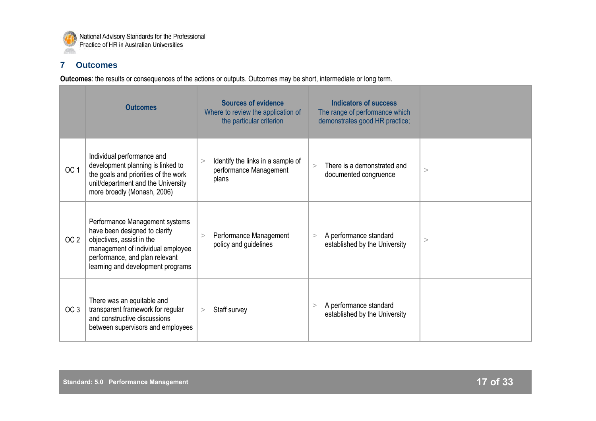

## **7 Outcomes**

**Outcomes**: the results or consequences of the actions or outputs. Outcomes may be short, intermediate or long term.

|                 | <b>Outcomes</b>                                                                                                                                                                                          | <b>Sources of evidence</b><br>Where to review the application of<br>the particular criterion | <b>Indicators of success</b><br>The range of performance which<br>demonstrates good HR practice; |   |
|-----------------|----------------------------------------------------------------------------------------------------------------------------------------------------------------------------------------------------------|----------------------------------------------------------------------------------------------|--------------------------------------------------------------------------------------------------|---|
| OC <sub>1</sub> | Individual performance and<br>development planning is linked to<br>the goals and priorities of the work<br>unit/department and the University<br>more broadly (Monash, 2006)                             | Identify the links in a sample of<br>><br>performance Management<br>plans                    | There is a demonstrated and<br>$\geq$<br>documented congruence                                   | > |
| OC <sub>2</sub> | Performance Management systems<br>have been designed to clarify<br>objectives, assist in the<br>management of individual employee<br>performance, and plan relevant<br>learning and development programs | Performance Management<br>policy and guidelines                                              | A performance standard<br>$\geq$<br>established by the University                                | > |
| OC <sub>3</sub> | There was an equitable and<br>transparent framework for regular<br>and constructive discussions<br>between supervisors and employees                                                                     | Staff survey<br>>                                                                            | A performance standard<br>><br>established by the University                                     |   |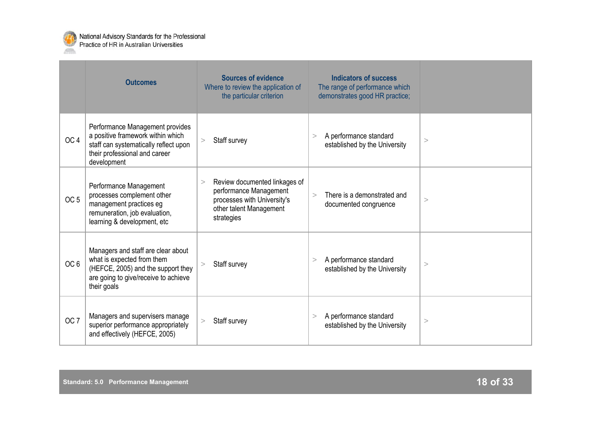

|                 | <b>Outcomes</b>                                                                                                                                               | <b>Sources of evidence</b><br>Where to review the application of<br>the particular criterion                                         | <b>Indicators of success</b><br>The range of performance which<br>demonstrates good HR practice; |   |
|-----------------|---------------------------------------------------------------------------------------------------------------------------------------------------------------|--------------------------------------------------------------------------------------------------------------------------------------|--------------------------------------------------------------------------------------------------|---|
| OC <sub>4</sub> | Performance Management provides<br>a positive framework within which<br>staff can systematically reflect upon<br>their professional and career<br>development | Staff survey<br>$\geq$                                                                                                               | A performance standard<br>><br>established by the University                                     | > |
| OC <sub>5</sub> | Performance Management<br>processes complement other<br>management practices eg<br>remuneration, job evaluation,<br>learning & development, etc               | Review documented linkages of<br>><br>performance Management<br>processes with University's<br>other talent Management<br>strategies | There is a demonstrated and<br>$\geq$<br>documented congruence                                   | > |
| OC <sub>6</sub> | Managers and staff are clear about<br>what is expected from them<br>(HEFCE, 2005) and the support they<br>are going to give/receive to achieve<br>their goals | Staff survey                                                                                                                         | A performance standard<br>><br>established by the University                                     | > |
| OC <sub>7</sub> | Managers and supervisers manage<br>superior performance appropriately<br>and effectively (HEFCE, 2005)                                                        | Staff survey<br>>                                                                                                                    | A performance standard<br>><br>established by the University                                     | > |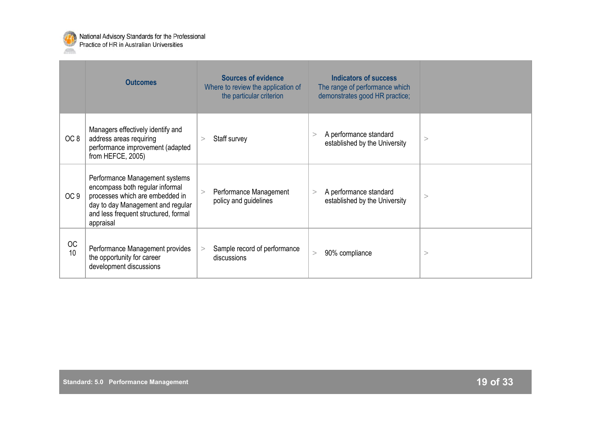

|                 | <b>Outcomes</b>                                                                                                                                                                                | <b>Sources of evidence</b><br>Where to review the application of<br>the particular criterion | <b>Indicators of success</b><br>The range of performance which<br>demonstrates good HR practice; |          |
|-----------------|------------------------------------------------------------------------------------------------------------------------------------------------------------------------------------------------|----------------------------------------------------------------------------------------------|--------------------------------------------------------------------------------------------------|----------|
| OC <sub>8</sub> | Managers effectively identify and<br>address areas requiring<br>performance improvement (adapted<br>from HEFCE, 2005)                                                                          | Staff survey<br>$\geq$                                                                       | A performance standard<br>><br>established by the University                                     | >        |
| OC <sub>9</sub> | Performance Management systems<br>encompass both regular informal<br>processes which are embedded in<br>day to day Management and regular<br>and less frequent structured, formal<br>appraisal | Performance Management<br>policy and guidelines                                              | A performance standard<br>$\geq$<br>established by the University                                | >        |
| <b>OC</b><br>10 | Performance Management provides<br>the opportunity for career<br>development discussions                                                                                                       | Sample record of performance<br>discussions                                                  | 90% compliance<br>>                                                                              | $\rm{>}$ |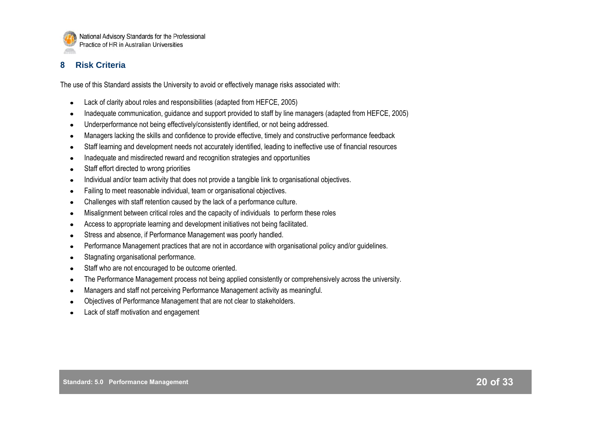

## **8 Risk Criteria**

The use of this Standard assists the University to avoid or effectively manage risks associated with:

- Lack of clarity about roles and responsibilities (adapted from HEFCE, 2005)
- Inadequate communication, guidance and support provided to staff by line managers (adapted from HEFCE, 2005)
- Underperformance not being effectively/consistently identified, or not being addressed.
- Managers lacking the skills and confidence to provide effective, timely and constructive performance feedback
- Staff learning and development needs not accurately identified, leading to ineffective use of financial resources
- Inadequate and misdirected reward and recognition strategies and opportunities
- Staff effort directed to wrong priorities
- Individual and/or team activity that does not provide a tangible link to organisational objectives.
- Failing to meet reasonable individual, team or organisational objectives.
- Challenges with staff retention caused by the lack of a performance culture.
- Misalignment between critical roles and the capacity of individuals to perform these roles
- Access to appropriate learning and development initiatives not being facilitated.
- Stress and absence, if Performance Management was poorly handled.
- Performance Management practices that are not in accordance with organisational policy and/or guidelines.
- Stagnating organisational performance.
- Staff who are not encouraged to be outcome oriented.
- The Performance Management process not being applied consistently or comprehensively across the university.
- Managers and staff not perceiving Performance Management activity as meaningful.
- Objectives of Performance Management that are not clear to stakeholders.
- Lack of staff motivation and engagement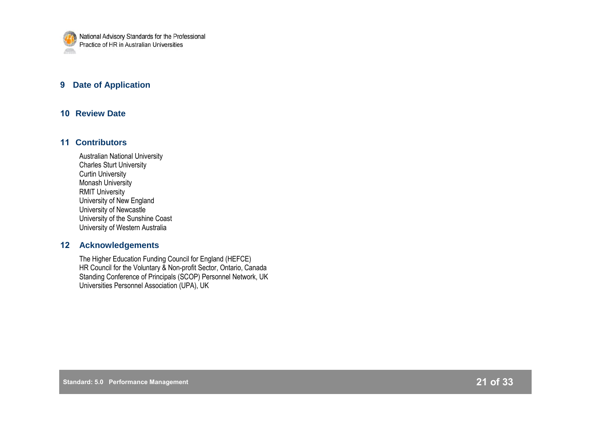

## **9 Date of Application**

#### **10 Review Date**

#### **11 Contributors**

Australian National University Charles Sturt University Curtin University Monash University RMIT University University of New England University of Newcastle University of the Sunshine Coast University of Western Australia

#### **12 Acknowledgements**

The Higher Education Funding Council for England (HEFCE) HR Council for the Voluntary & Non-profit Sector, Ontario, Canada Standing Conference of Principals (SCOP) Personnel Network, UK Universities Personnel Association (UPA), UK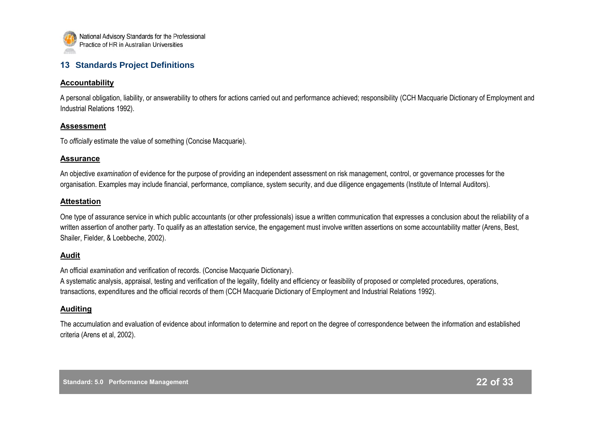

## **13 Standards Project Definitions**

#### **Accountability**

A personal obligation, liability, or answerability to others for actions carried out and performance achieved; responsibility (CCH Macquarie Dictionary of Employment and Industrial Relations 1992).

#### **Assessment**

To *officially* estimate the value of something (Concise Macquarie).

#### **Assurance**

An objective *examination* of evidence for the purpose of providing an independent assessment on risk management, control, or governance processes for the organisation. Examples may include financial, performance, compliance, system security, and due diligence engagements (Institute of Internal Auditors).

#### **Attestation**

One type of assurance service in which public accountants (or other professionals) issue a written communication that expresses a conclusion about the reliability of a written assertion of another party. To qualify as an attestation service, the engagement must involve written assertions on some accountability matter (Arens, Best, Shailer, Fielder, & Loebbeche, 2002).

#### **Audit**

An official *examination* and verification of records. (Concise Macquarie Dictionary).

A systematic analysis, appraisal, testing and verification of the legality, fidelity and efficiency or feasibility of proposed or completed procedures, operations, transactions, expenditures and the official records of them (CCH Macquarie Dictionary of Employment and Industrial Relations 1992).

#### **Auditing**

The accumulation and evaluation of evidence about information to determine and report on the degree of correspondence between the information and established criteria (Arens et al, 2002).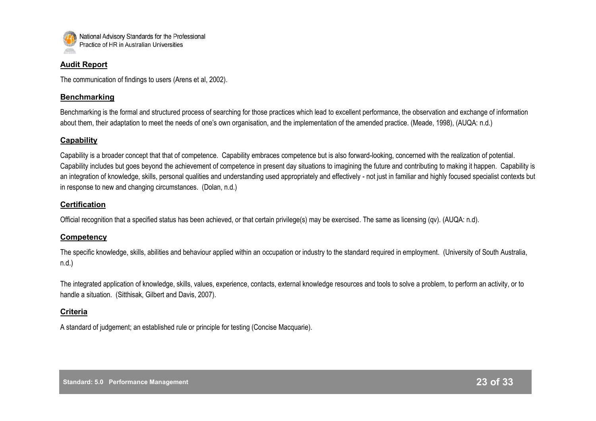

#### **Audit Report**

The communication of findings to users (Arens et al, 2002).

#### **Benchmarking**

Benchmarking is the formal and structured process of searching for those practices which lead to excellent performance, the observation and exchange of information about them, their adaptation to meet the needs of one"s own organisation, and the implementation of the amended practice. (Meade, 1998), (AUQA: n.d.)

#### **Capability**

Capability is a broader concept that that of competence. Capability embraces competence but is also forward-looking, concerned with the realization of potential. Capability includes but goes beyond the achievement of competence in present day situations to imagining the future and contributing to making it happen. Capability is an integration of knowledge, skills, personal qualities and understanding used appropriately and effectively - not just in familiar and highly focused specialist contexts but in response to new and changing circumstances. (Dolan, n.d.)

#### **Certification**

Official recognition that a specified status has been achieved, or that certain privilege(s) may be exercised. The same as licensing (qv). (AUQA: n.d).

#### **Competency**

The specific knowledge, skills, abilities and behaviour applied within an occupation or industry to the standard required in employment. (University of South Australia, n.d.)

The integrated application of knowledge, skills, values, experience, contacts, external knowledge resources and tools to solve a problem, to perform an activity, or to handle a situation. (Sitthisak, Gilbert and Davis, 2007).

#### **Criteria**

A standard of judgement; an established rule or principle for testing (Concise Macquarie).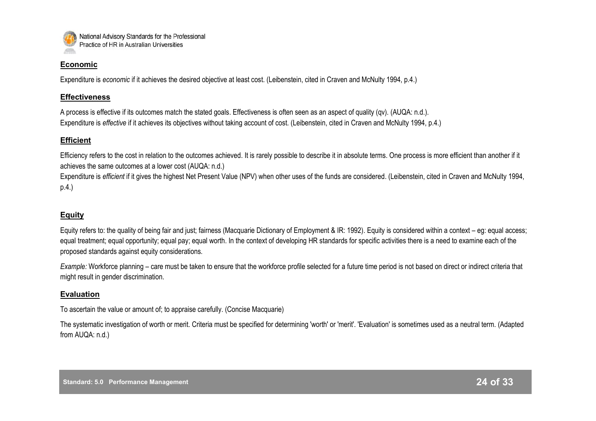

#### **Economic**

Expenditure is *economic* if it achieves the desired objective at least cost. (Leibenstein, cited in Craven and McNulty 1994, p.4.)

#### **Effectiveness**

A process is effective if its outcomes match the stated goals. Effectiveness is often seen as an aspect of quality (qv). (AUQA: n.d.). Expenditure is *effective* if it achieves its objectives without taking account of cost. (Leibenstein, cited in Craven and McNulty 1994, p.4.)

#### **Efficient**

Efficiency refers to the cost in relation to the outcomes achieved. It is rarely possible to describe it in absolute terms. One process is more efficient than another if it achieves the same outcomes at a lower cost (AUQA: n.d.)

Expenditure is *efficient* if it gives the highest Net Present Value (NPV) when other uses of the funds are considered. (Leibenstein, cited in Craven and McNulty 1994, p.4.)

## **Equity**

Equity refers to: the quality of being fair and just; fairness (Macquarie Dictionary of Employment & IR: 1992). Equity is considered within a context – eg: equal access; equal treatment; equal opportunity; equal pay; equal worth. In the context of developing HR standards for specific activities there is a need to examine each of the proposed standards against equity considerations.

*Example:* Workforce planning – care must be taken to ensure that the workforce profile selected for a future time period is not based on direct or indirect criteria that might result in gender discrimination.

#### **Evaluation**

To ascertain the value or amount of; to appraise carefully. (Concise Macquarie)

The systematic investigation of worth or merit. Criteria must be specified for determining 'worth' or 'merit'. 'Evaluation' is sometimes used as a neutral term. (Adapted from AUQA: n.d.)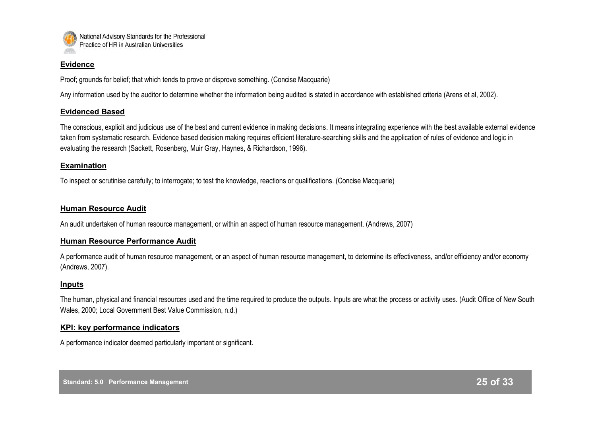

#### **Evidence**

Proof; grounds for belief; that which tends to prove or disprove something. (Concise Macquarie)

Any information used by the auditor to determine whether the information being audited is stated in accordance with established criteria (Arens et al, 2002).

#### **Evidenced Based**

The conscious, explicit and judicious use of the best and current evidence in making decisions. It means integrating experience with the best available external evidence taken from systematic research. Evidence based decision making requires efficient literature-searching skills and the application of rules of evidence and logic in evaluating the research (Sackett, Rosenberg, Muir Gray, Haynes, & Richardson, 1996).

#### **Examination**

To inspect or scrutinise carefully; to interrogate; to test the knowledge, reactions or qualifications. (Concise Macquarie)

#### **Human Resource Audit**

An audit undertaken of human resource management, or within an aspect of human resource management. (Andrews, 2007)

#### **Human Resource Performance Audit**

A performance audit of human resource management, or an aspect of human resource management, to determine its effectiveness, and/or efficiency and/or economy (Andrews, 2007).

#### **Inputs**

The human, physical and financial resources used and the time required to produce the outputs. Inputs are what the process or activity uses. (Audit Office of New South Wales, 2000; Local Government Best Value Commission, n.d.)

#### **KPI: key performance indicators**

A performance indicator deemed particularly important or significant.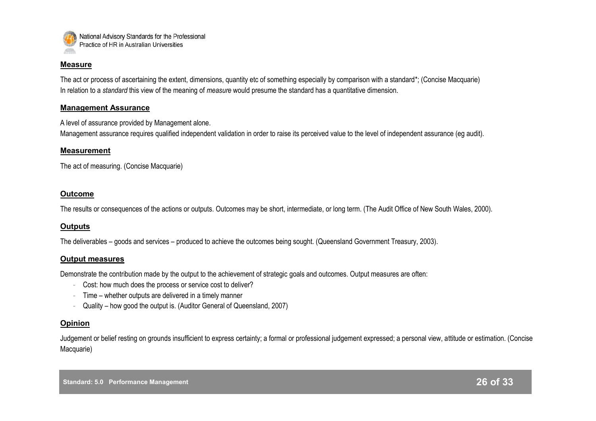

#### **Measure**

The act or process of ascertaining the extent, dimensions, quantity etc of something especially by comparison with a standard\*; (Concise Macquarie) In relation to a *standard* this view of the meaning of *measure* would presume the standard has a quantitative dimension.

#### **Management Assurance**

A level of assurance provided by Management alone.

Management assurance requires qualified independent validation in order to raise its perceived value to the level of independent assurance (eg audit).

#### **Measurement**

The act of measuring. (Concise Macquarie)

#### **Outcome**

The results or consequences of the actions or outputs. Outcomes may be short, intermediate, or long term. (The Audit Office of New South Wales, 2000).

#### **Outputs**

The deliverables – goods and services – produced to achieve the outcomes being sought. (Queensland Government Treasury, 2003).

#### **Output measures**

Demonstrate the contribution made by the output to the achievement of strategic goals and outcomes. Output measures are often:

- Cost: how much does the process or service cost to deliver?
- Time whether outputs are delivered in a timely manner
- Quality how good the output is. (Auditor General of Queensland, 2007)

#### **Opinion**

Judgement or belief resting on grounds insufficient to express certainty; a formal or professional judgement expressed; a personal view, attitude or estimation. (Concise Macquarie)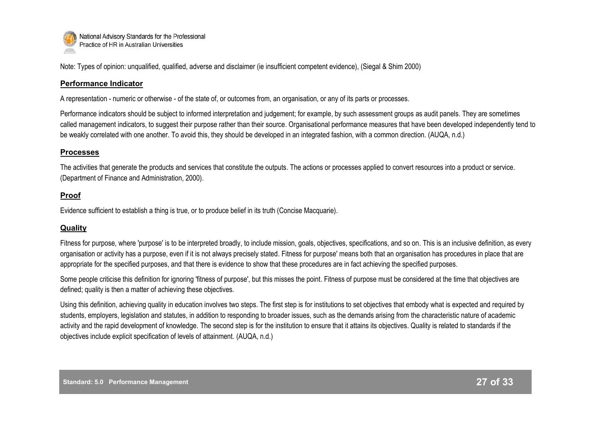

Note: Types of opinion: unqualified, qualified, adverse and disclaimer (ie insufficient competent evidence), (Siegal & Shim 2000)

#### **Performance Indicator**

A representation - numeric or otherwise - of the state of, or outcomes from, an organisation, or any of its parts or processes.

Performance indicators should be subject to informed interpretation and judgement; for example, by such assessment groups as audit panels. They are sometimes called management indicators, to suggest their purpose rather than their source. Organisational performance measures that have been developed independently tend to be weakly correlated with one another. To avoid this, they should be developed in an integrated fashion, with a common direction. (AUQA, n.d.)

#### **Processes**

The activities that generate the products and services that constitute the outputs. The actions or processes applied to convert resources into a product or service. (Department of Finance and Administration, 2000).

#### **Proof**

Evidence sufficient to establish a thing is true, or to produce belief in its truth (Concise Macquarie).

## **Quality**

Fitness for purpose, where 'purpose' is to be interpreted broadly, to include mission, goals, objectives, specifications, and so on. This is an inclusive definition, as every organisation or activity has a purpose, even if it is not always precisely stated. Fitness for purpose' means both that an organisation has procedures in place that are appropriate for the specified purposes, and that there is evidence to show that these procedures are in fact achieving the specified purposes.

Some people criticise this definition for ignoring 'fitness of purpose', but this misses the point. Fitness of purpose must be considered at the time that objectives are defined; quality is then a matter of achieving these objectives.

Using this definition, achieving quality in education involves two steps. The first step is for institutions to set objectives that embody what is expected and required by students, employers, legislation and statutes, in addition to responding to broader issues, such as the demands arising from the characteristic nature of academic activity and the rapid development of knowledge. The second step is for the institution to ensure that it attains its objectives. Quality is related to standards if the objectives include explicit specification of levels of attainment. (AUQA, n.d.)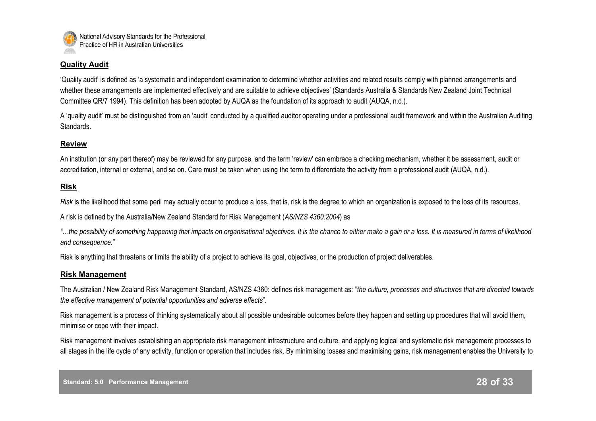

#### **Quality Audit**

"Quality audit" is defined as "a systematic and independent examination to determine whether activities and related results comply with planned arrangements and whether these arrangements are implemented effectively and are suitable to achieve objectives' (Standards Australia & Standards New Zealand Joint Technical Committee QR/7 1994). This definition has been adopted by AUQA as the foundation of its approach to audit (AUQA, n.d.).

A "quality audit" must be distinguished from an "audit" conducted by a qualified auditor operating under a professional audit framework and within the Australian Auditing Standards.

#### **Review**

An institution (or any part thereof) may be reviewed for any purpose, and the term 'review' can embrace a checking mechanism, whether it be assessment, audit or accreditation, internal or external, and so on. Care must be taken when using the term to differentiate the activity from a professional audit (AUQA, n.d.).

#### **Risk**

*Risk* is the likelihood that some peril may actually occur to produce a loss, that is, risk is the degree to which an organization is exposed to the loss of its resources.

A risk is defined by the Australia/New Zealand Standard for Risk Management (*AS/NZS 4360:2004*) as

*"…the possibility of something happening that impacts on organisational objectives. It is the chance to either make a gain or a loss. It is measured in terms of likelihood and consequence."*

Risk is anything that threatens or limits the ability of a project to achieve its goal, objectives, or the production of project deliverables.

#### **Risk Management**

The Australian / New Zealand Risk Management Standard, AS/NZS 4360: defines risk management as: "*the culture, processes and structures that are directed towards the effective management of potential opportunities and adverse effects*".

Risk management is a process of thinking systematically about all possible undesirable outcomes before they happen and setting up procedures that will avoid them, minimise or cope with their impact.

Risk management involves establishing an appropriate risk management infrastructure and culture, and applying logical and systematic risk management processes to all stages in the life cycle of any activity, function or operation that includes risk. By minimising losses and maximising gains, risk management enables the University to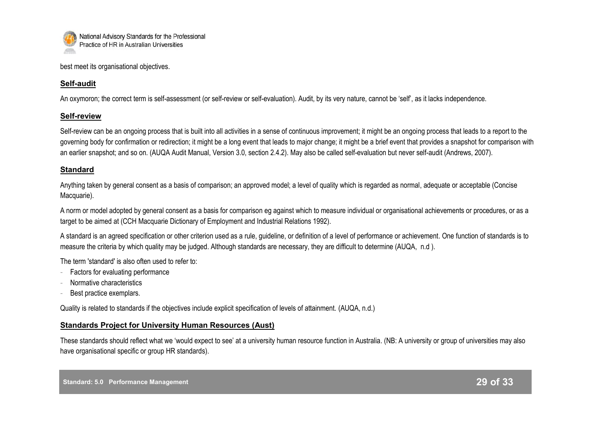

best meet its organisational objectives.

## **Self-audit**

An oxymoron; the correct term is self-assessment (or self-review or self-evaluation). Audit, by its very nature, cannot be 'self', as it lacks independence.

## **Self-review**

Self-review can be an ongoing process that is built into all activities in a sense of continuous improvement; it might be an ongoing process that leads to a report to the governing body for confirmation or redirection; it might be a long event that leads to major change; it might be a brief event that provides a snapshot for comparison with an earlier snapshot; and so on. (AUQA Audit Manual, Version 3.0, section 2.4.2). May also be called self-evaluation but never self-audit (Andrews, 2007).

## **Standard**

Anything taken by general consent as a basis of comparison; an approved model; a level of quality which is regarded as normal, adequate or acceptable (Concise Macquarie).

A norm or model adopted by general consent as a basis for comparison eg against which to measure individual or organisational achievements or procedures, or as a target to be aimed at (CCH Macquarie Dictionary of Employment and Industrial Relations 1992).

A standard is an agreed specification or other criterion used as a rule, guideline, or definition of a level of performance or achievement. One function of standards is to measure the criteria by which quality may be judged. Although standards are necessary, they are difficult to determine (AUQA, n.d ).

The term 'standard' is also often used to refer to:

- Factors for evaluating performance
- Normative characteristics
- Best practice exemplars.

Quality is related to standards if the objectives include explicit specification of levels of attainment. (AUQA, n.d.)

## **Standards Project for University Human Resources (Aust)**

These standards should reflect what we "would expect to see" at a university human resource function in Australia. (NB: A university or group of universities may also have organisational specific or group HR standards).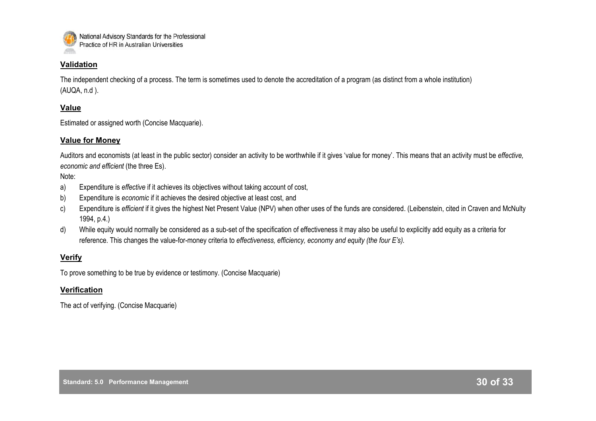

#### **Validation**

The independent checking of a process. The term is sometimes used to denote the accreditation of a program (as distinct from a whole institution) (AUQA, n.d ).

#### **Value**

Estimated or assigned worth (Concise Macquarie).

#### **Value for Money**

Auditors and economists (at least in the public sector) consider an activity to be worthwhile if it gives "value for money". This means that an activity must be *effective, economic and efficient* (the three Es).

Note:

- a) Expenditure is *effective* if it achieves its objectives without taking account of cost,
- b) Expenditure is *economic* if it achieves the desired objective at least cost, and
- c) Expenditure is *efficient* if it gives the highest Net Present Value (NPV) when other uses of the funds are considered. (Leibenstein, cited in Craven and McNulty 1994, p.4.)
- d) While equity would normally be considered as a sub-set of the specification of effectiveness it may also be useful to explicitly add equity as a criteria for reference. This changes the value-for-money criteria to *effectiveness, efficiency, economy and equity (the four E's).*

#### **Verify**

To prove something to be true by evidence or testimony. (Concise Macquarie)

#### **Verification**

The act of verifying. (Concise Macquarie)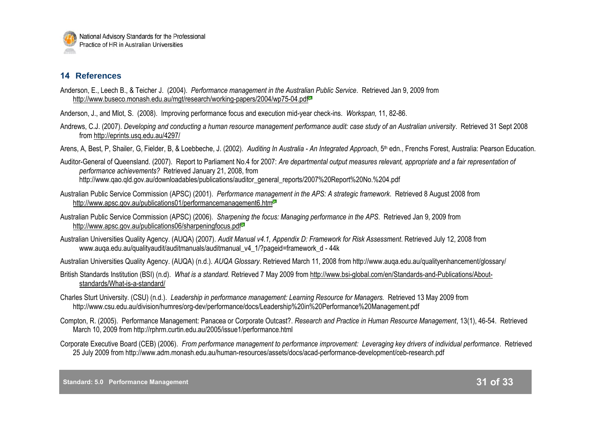## **14 References**

- Anderson, E., Leech B., & Teicher J. (2004). *Performance management in the Australian Public Service*. Retrieved Jan 9, 2009 from <http://www.buseco.monash.edu.au/mgt/research/working-papers/2004/wp75-04.pdf><sup>3</sup>
- Anderson, J., and Mlot, S. (2008). Improving performance focus and execution mid-year check-ins. *Workspan,* 11, 82-86.
- Andrews, C.J. (2007). *Developing and conducting a human resource management performance audit: case study of an Australian university*. Retrieved 31 Sept 2008 from <http://eprints.usq.edu.au/4297/>
- Arens, A, Best, P, Shailer, G, Fielder, B, & Loebbeche, J. (2002). *Auditing In Australia An Integrated Approach*, 5<sup>th</sup> edn., Frenchs Forest, Australia: Pearson Education.
- Auditor-General of Queensland. (2007). Report to Parliament No.4 for 2007: *Are departmental output measures relevant, appropriate and a fair representation of performance achievements?* Retrieved January 21, 2008, from http://www.qao.qld.gov.au/downloadables/publications/auditor\_general\_reports/2007%20Report%20No.%204.pdf
- Australian Public Service Commission (APSC) (2001). *Performance management in the APS: A strategic framework*. Retrieved 8 August 2008 from <http://www.apsc.gov.au/publications01/performancemanagement6.htm>
- Australian Public Service Commission (APSC) (2006). *Sharpening the focus: Managing performance in the APS*. Retrieved Jan 9, 2009 from <http://www.apsc.gov.au/publications06/sharpeningfocus.pdf>
- Australian Universities Quality Agency. (AUQA) (2007). *Audit Manual v4.1, Appendix D: Framework for Risk Assessment*. Retrieved July 12, 2008 from www.auga.edu.au/qualityaudit/auditmanuals/auditmanual\_v4\_1/?pageid=framework\_d - 44k
- Australian Universities Quality Agency. (AUQA) (n.d.). *AUQA Glossary*. Retrieved March 11, 2008 from http://www.auqa.edu.au/qualityenhancement/glossary/
- British Standards Institution (BSI) (n.d). *What is a standard.* Retrieved 7 May 2009 from http://www.bsi-global.com/en/Standards-and-Publications/Aboutstandards/What-is-a-standard/
- Charles Sturt University. (CSU) (n.d.). *Leadership in performance management: Learning Resource for Managers.* Retrieved 13 May 2009 from http://www.csu.edu.au/division/humres/org-dev/performance/docs/Leadership%20in%20Performance%20Management.pdf
- Compton, R. (2005). Performance Management: Panacea or Corporate Outcast?. *Research and Practice in Human Resource Management*, 13(1), 46-54. Retrieved March 10, 2009 from http://rphrm.curtin.edu.au/2005/issue1/performance.html
- Corporate Executive Board (CEB) (2006). *From performance management to performance improvement: Leveraging key drivers of individual performance*. Retrieved 25 July 2009 from http://www.adm.monash.edu.au/human-resources/assets/docs/acad-performance-development/ceb-research.pdf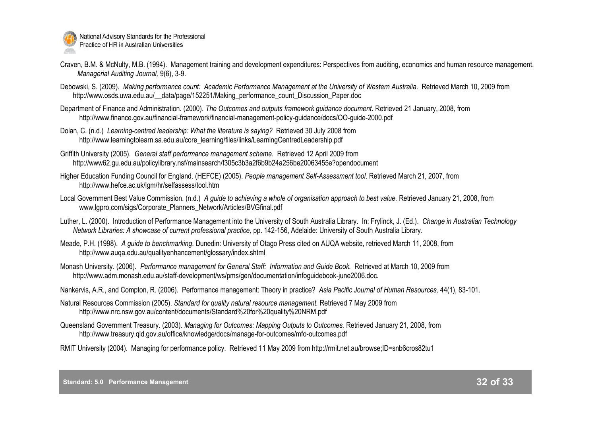

- Craven, B.M. & McNulty, M.B. (1994). Management training and development expenditures: Perspectives from auditing, economics and human resource management. *Managerial Auditing Journal,* 9(6), 3-9.
- Debowski, S. (2009). *Making performance count: Academic Performance Management at the University of Western Australia*. Retrieved March 10, 2009 from http://www.osds.uwa.edu.au/ data/page/152251/Making\_performance\_count\_Discussion\_Paper.doc
- Department of Finance and Administration. (2000). *The Outcomes and outputs framework guidance document.* Retrieved 21 January, 2008, from http://www.finance.gov.au/financial-framework/financial-management-policy-guidance/docs/OO-guide-2000.pdf
- Dolan, C. (n.d.) *Learning-centred leadership: What the literature is saying?* Retrieved 30 July 2008 from http://www.learningtolearn.sa.edu.au/core\_learning/files/links/LearningCentredLeadership.pdf
- Griffith University (2005). *General staff performance management scheme*. Retrieved 12 April 2009 from http://www62.gu.edu.au/policylibrary.nsf/mainsearch/f305c3b3a2f6b9b24a256be20063455e?opendocument
- Higher Education Funding Council for England. (HEFCE) (2005). *People management Self-Assessment tool*. Retrieved March 21, 2007, from http://www.hefce.ac.uk/lgm/hr/selfassess/tool.htm
- Local Government Best Value Commission. (n.d.) A *quide to achieving a whole of organisation approach to best value.* Retrieved January 21, 2008, from www.lgpro.com/sigs/Corporate\_Planners\_Network/Articles/BVGfinal.pdf
- Luther, L. (2000). Introduction of Performance Management into the University of South Australia Library. In: Frylinck, J. (Ed.). *Change in Australian Technology Network Libraries: A showcase of current professional practice,* pp. 142-156, Adelaide: University of South Australia Library.
- Meade, P.H. (1998). *A guide to benchmarking*. Dunedin: University of Otago Press cited on AUQA website, retrieved March 11, 2008, from http://www.auqa.edu.au/qualityenhancement/glossary/index.shtml
- Monash University. (2006). *Performance management for General Staff: Information and Guide Book.* Retrieved at March 10, 2009 from http://www.adm.monash.edu.au/staff-development/ws/pms/gen/documentation/infoguidebook-june2006.doc*.*
- Nankervis, A.R., and Compton, R. (2006). Performance management: Theory in practice? *Asia Pacific Journal of Human Resources,* 44(1), 83-101.
- Natural Resources Commission (2005). *Standard for quality natural resource management.* Retrieved 7 May 2009 from http://www.nrc.nsw.gov.au/content/documents/Standard%20for%20quality%20NRM.pdf
- Queensland Government Treasury. (2003). *Managing for Outcomes: Mapping Outputs to Outcomes.* Retrieved January 21, 2008, from http://www.treasury.qld.gov.au/office/knowledge/docs/manage-for-outcomes/mfo-outcomes.pdf
- RMIT University (2004). Managing for performance policy. Retrieved 11 May 2009 from http://rmit.net.au/browse;ID=snb6cros82tu1